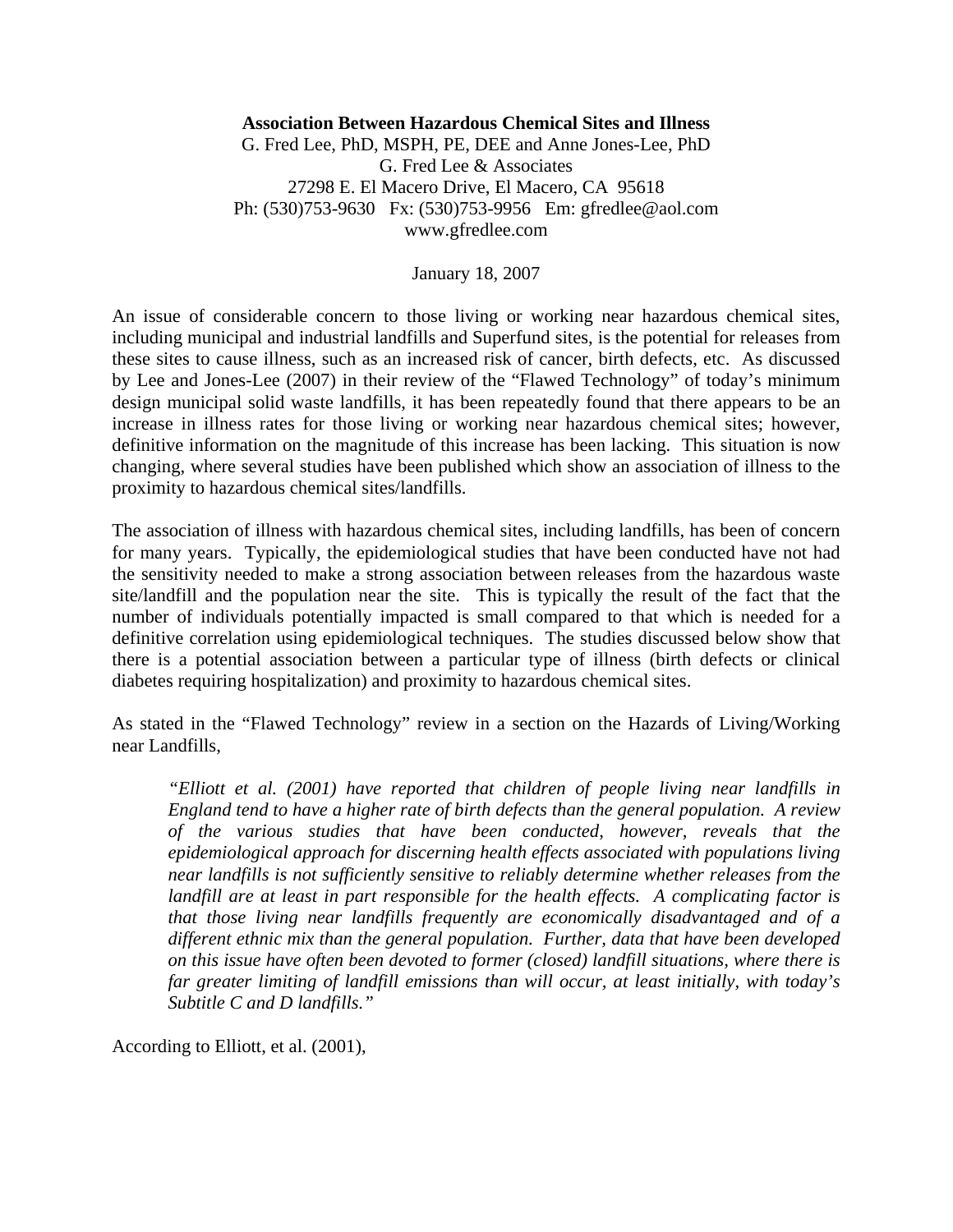## **Association Between Hazardous Chemical Sites and Illness**

G. Fred Lee, PhD, MSPH, PE, DEE and Anne Jones-Lee, PhD G. Fred Lee & Associates 27298 E. El Macero Drive, El Macero, CA 95618 Ph: (530)753-9630 Fx: (530)753-9956 Em: gfredlee@aol.com www.gfredlee.com

January 18, 2007

An issue of considerable concern to those living or working near hazardous chemical sites, including municipal and industrial landfills and Superfund sites, is the potential for releases from these sites to cause illness, such as an increased risk of cancer, birth defects, etc. As discussed by Lee and Jones-Lee (2007) in their review of the "Flawed Technology" of today's minimum design municipal solid waste landfills, it has been repeatedly found that there appears to be an increase in illness rates for those living or working near hazardous chemical sites; however, definitive information on the magnitude of this increase has been lacking. This situation is now changing, where several studies have been published which show an association of illness to the proximity to hazardous chemical sites/landfills.

The association of illness with hazardous chemical sites, including landfills, has been of concern for many years. Typically, the epidemiological studies that have been conducted have not had the sensitivity needed to make a strong association between releases from the hazardous waste site/landfill and the population near the site. This is typically the result of the fact that the number of individuals potentially impacted is small compared to that which is needed for a definitive correlation using epidemiological techniques. The studies discussed below show that there is a potential association between a particular type of illness (birth defects or clinical diabetes requiring hospitalization) and proximity to hazardous chemical sites.

As stated in the "Flawed Technology" review in a section on the Hazards of Living/Working near Landfills,

*"Elliott et al. (2001) have reported that children of people living near landfills in England tend to have a higher rate of birth defects than the general population. A review of the various studies that have been conducted, however, reveals that the epidemiological approach for discerning health effects associated with populations living near landfills is not sufficiently sensitive to reliably determine whether releases from the*  landfill are at least in part responsible for the health effects. A complicating factor is *that those living near landfills frequently are economically disadvantaged and of a different ethnic mix than the general population. Further, data that have been developed on this issue have often been devoted to former (closed) landfill situations, where there is far greater limiting of landfill emissions than will occur, at least initially, with today's Subtitle C and D landfills."* 

According to Elliott, et al. (2001),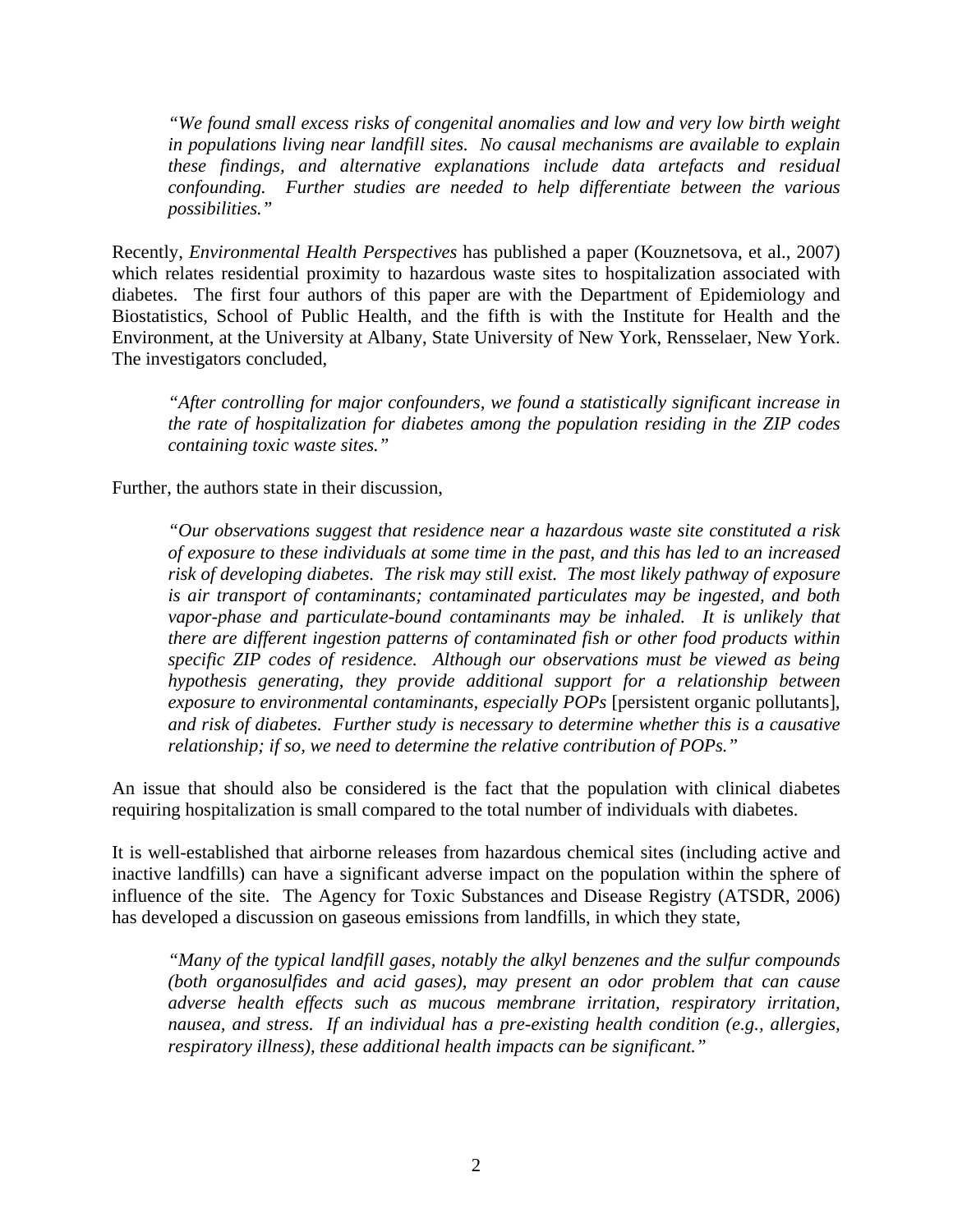*"We found small excess risks of congenital anomalies and low and very low birth weight in populations living near landfill sites. No causal mechanisms are available to explain these findings, and alternative explanations include data artefacts and residual confounding. Further studies are needed to help differentiate between the various possibilities."* 

Recently, *Environmental Health Perspectives* has published a paper (Kouznetsova, et al., 2007) which relates residential proximity to hazardous waste sites to hospitalization associated with diabetes. The first four authors of this paper are with the Department of Epidemiology and Biostatistics, School of Public Health, and the fifth is with the Institute for Health and the Environment, at the University at Albany, State University of New York, Rensselaer, New York. The investigators concluded,

*"After controlling for major confounders, we found a statistically significant increase in the rate of hospitalization for diabetes among the population residing in the ZIP codes containing toxic waste sites."* 

Further, the authors state in their discussion,

*"Our observations suggest that residence near a hazardous waste site constituted a risk of exposure to these individuals at some time in the past, and this has led to an increased risk of developing diabetes. The risk may still exist. The most likely pathway of exposure is air transport of contaminants; contaminated particulates may be ingested, and both*  vapor-phase and particulate-bound contaminants may be inhaled. It is unlikely that *there are different ingestion patterns of contaminated fish or other food products within specific ZIP codes of residence. Although our observations must be viewed as being hypothesis generating, they provide additional support for a relationship between exposure to environmental contaminants, especially POPs* [persistent organic pollutants]*, and risk of diabetes. Further study is necessary to determine whether this is a causative relationship; if so, we need to determine the relative contribution of POPs."* 

An issue that should also be considered is the fact that the population with clinical diabetes requiring hospitalization is small compared to the total number of individuals with diabetes.

It is well-established that airborne releases from hazardous chemical sites (including active and inactive landfills) can have a significant adverse impact on the population within the sphere of influence of the site. The Agency for Toxic Substances and Disease Registry (ATSDR, 2006) has developed a discussion on gaseous emissions from landfills, in which they state,

*"Many of the typical landfill gases, notably the alkyl benzenes and the sulfur compounds (both organosulfides and acid gases), may present an odor problem that can cause adverse health effects such as mucous membrane irritation, respiratory irritation, nausea, and stress. If an individual has a pre-existing health condition (e.g., allergies, respiratory illness), these additional health impacts can be significant."*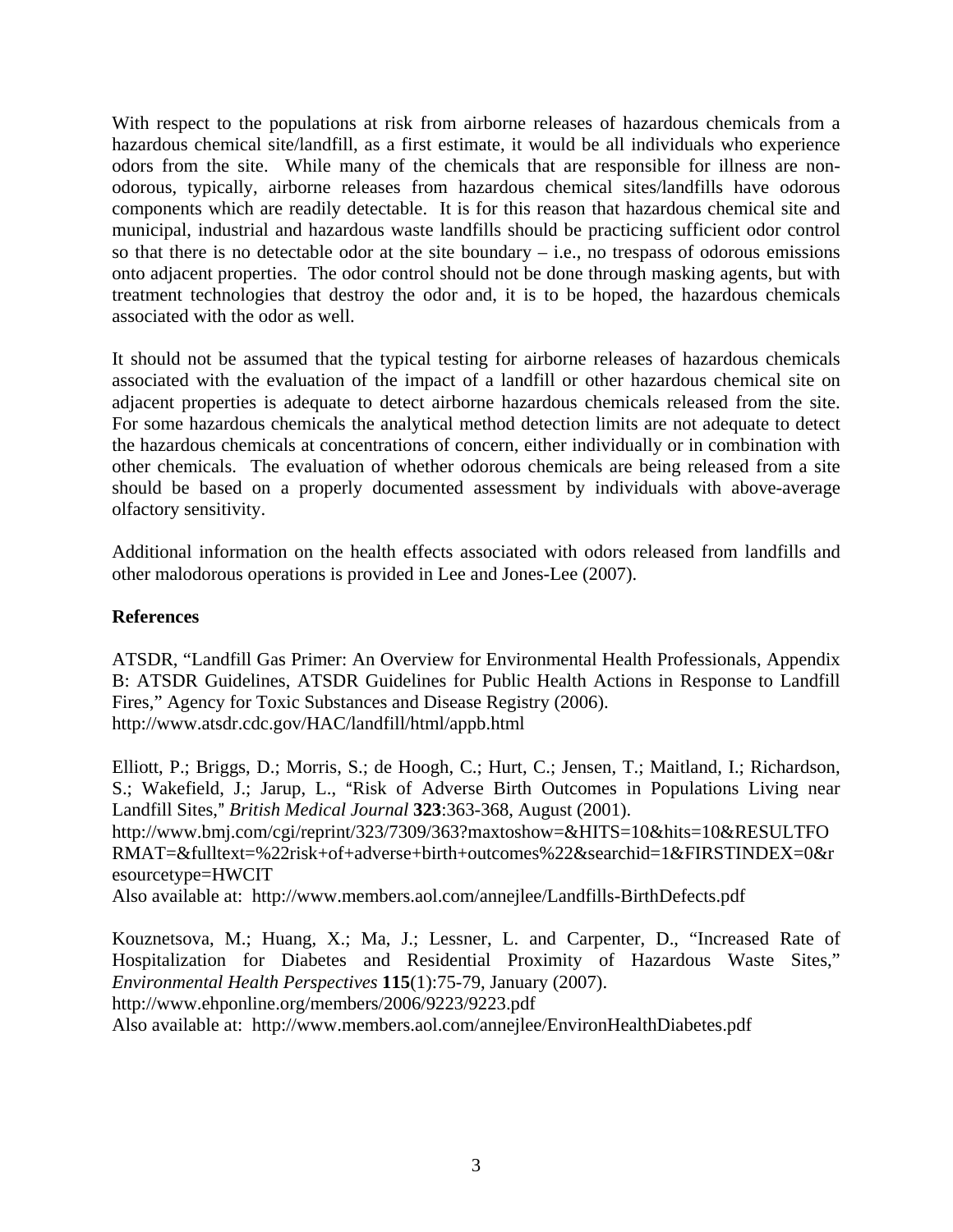With respect to the populations at risk from airborne releases of hazardous chemicals from a hazardous chemical site/landfill, as a first estimate, it would be all individuals who experience odors from the site. While many of the chemicals that are responsible for illness are nonodorous, typically, airborne releases from hazardous chemical sites/landfills have odorous components which are readily detectable. It is for this reason that hazardous chemical site and municipal, industrial and hazardous waste landfills should be practicing sufficient odor control so that there is no detectable odor at the site boundary  $-$  i.e., no trespass of odorous emissions onto adjacent properties. The odor control should not be done through masking agents, but with treatment technologies that destroy the odor and, it is to be hoped, the hazardous chemicals associated with the odor as well.

It should not be assumed that the typical testing for airborne releases of hazardous chemicals associated with the evaluation of the impact of a landfill or other hazardous chemical site on adjacent properties is adequate to detect airborne hazardous chemicals released from the site. For some hazardous chemicals the analytical method detection limits are not adequate to detect the hazardous chemicals at concentrations of concern, either individually or in combination with other chemicals. The evaluation of whether odorous chemicals are being released from a site should be based on a properly documented assessment by individuals with above-average olfactory sensitivity.

Additional information on the health effects associated with odors released from landfills and other malodorous operations is provided in Lee and Jones-Lee (2007).

## **References**

ATSDR, "Landfill Gas Primer: An Overview for Environmental Health Professionals, Appendix B: ATSDR Guidelines, ATSDR Guidelines for Public Health Actions in Response to Landfill Fires," Agency for Toxic Substances and Disease Registry (2006). http://www.atsdr.cdc.gov/HAC/landfill/html/appb.html

Elliott, P.; Briggs, D.; Morris, S.; de Hoogh, C.; Hurt, C.; Jensen, T.; Maitland, I.; Richardson, S.; Wakefield, J.; Jarup, L., "Risk of Adverse Birth Outcomes in Populations Living near Landfill Sites," *British Medical Journal* **323**:363-368, August (2001). http://www.bmj.com/cgi/reprint/323/7309/363?maxtoshow=&HITS=10&hits=10&RESULTFO RMAT=&fulltext=%22risk+of+adverse+birth+outcomes%22&searchid=1&FIRSTINDEX=0&r esourcetype=HWCIT

Also available at: http://www.members.aol.com/annejlee/Landfills-BirthDefects.pdf

Kouznetsova, M.; Huang, X.; Ma, J.; Lessner, L. and Carpenter, D., "Increased Rate of Hospitalization for Diabetes and Residential Proximity of Hazardous Waste Sites," *Environmental Health Perspectives* **115**(1):75-79, January (2007). http://www.ehponline.org/members/2006/9223/9223.pdf Also available at: http://www.members.aol.com/annejlee/EnvironHealthDiabetes.pdf